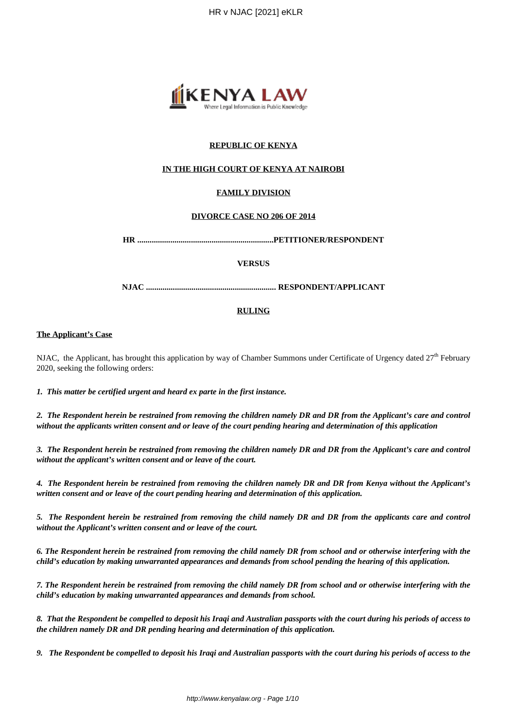

## **REPUBLIC OF KENYA**

## **IN THE HIGH COURT OF KENYA AT NAIROBI**

## **FAMILY DIVISION**

#### **DIVORCE CASE NO 206 OF 2014**

**HR ..................................................................PETITIONER/RESPONDENT**

#### **VERSUS**

**NJAC ............................................................... RESPONDENT/APPLICANT**

#### **RULING**

#### **The Applicant's Case**

NJAC, the Applicant, has brought this application by way of Chamber Summons under Certificate of Urgency dated  $27<sup>th</sup>$  February 2020, seeking the following orders:

*1. This matter be certified urgent and heard ex parte in the first instance.*

*2. The Respondent herein be restrained from removing the children namely DR and DR from the Applicant's care and control without the applicants written consent and or leave of the court pending hearing and determination of this application*

*3. The Respondent herein be restrained from removing the children namely DR and DR from the Applicant's care and control without the applicant's written consent and or leave of the court.*

*4. The Respondent herein be restrained from removing the children namely DR and DR from Kenya without the Applicant's written consent and or leave of the court pending hearing and determination of this application.*

*5. The Respondent herein be restrained from removing the child namely DR and DR from the applicants care and control without the Applicant's written consent and or leave of the court.*

*6. The Respondent herein be restrained from removing the child namely DR from school and or otherwise interfering with the child's education by making unwarranted appearances and demands from school pending the hearing of this application.* 

*7. The Respondent herein be restrained from removing the child namely DR from school and or otherwise interfering with the child's education by making unwarranted appearances and demands from school.*

*8. That the Respondent be compelled to deposit his Iraqi and Australian passports with the court during his periods of access to the children namely DR and DR pending hearing and determination of this application.*

*9. The Respondent be compelled to deposit his Iraqi and Australian passports with the court during his periods of access to the*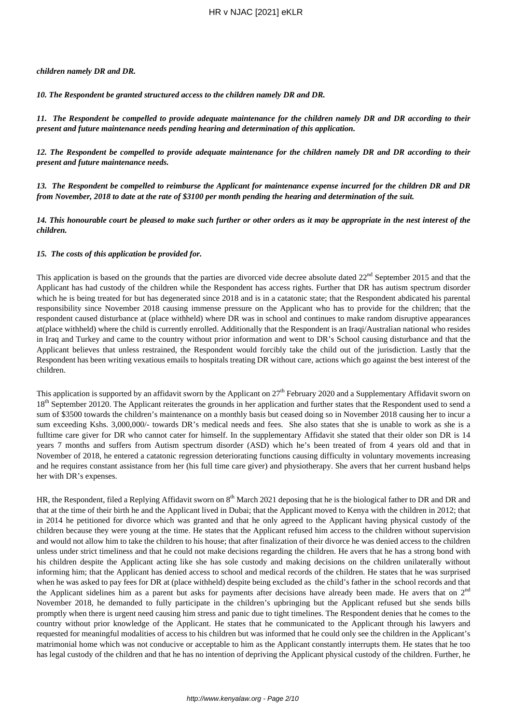#### *children namely DR and DR.*

*10. The Respondent be granted structured access to the children namely DR and DR.*

*11. The Respondent be compelled to provide adequate maintenance for the children namely DR and DR according to their present and future maintenance needs pending hearing and determination of this application.*

*12. The Respondent be compelled to provide adequate maintenance for the children namely DR and DR according to their present and future maintenance needs.*

*13. The Respondent be compelled to reimburse the Applicant for maintenance expense incurred for the children DR and DR from November, 2018 to date at the rate of \$3100 per month pending the hearing and determination of the suit.*

*14. This honourable court be pleased to make such further or other orders as it may be appropriate in the nest interest of the children.*

## *15. The costs of this application be provided for.*

This application is based on the grounds that the parties are divorced vide decree absolute dated 22<sup>nd</sup> September 2015 and that the Applicant has had custody of the children while the Respondent has access rights. Further that DR has autism spectrum disorder which he is being treated for but has degenerated since 2018 and is in a catatonic state; that the Respondent abdicated his parental responsibility since November 2018 causing immense pressure on the Applicant who has to provide for the children; that the respondent caused disturbance at (place withheld) where DR was in school and continues to make random disruptive appearances at(place withheld) where the child is currently enrolled. Additionally that the Respondent is an Iraqi/Australian national who resides in Iraq and Turkey and came to the country without prior information and went to DR's School causing disturbance and that the Applicant believes that unless restrained, the Respondent would forcibly take the child out of the jurisdiction. Lastly that the Respondent has been writing vexatious emails to hospitals treating DR without care, actions which go against the best interest of the children.

This application is supported by an affidavit sworn by the Applicant on  $27<sup>th</sup>$  February 2020 and a Supplementary Affidavit sworn on 18<sup>th</sup> September 20120. The Applicant reiterates the grounds in her application and further states that the Respondent used to send a sum of \$3500 towards the children's maintenance on a monthly basis but ceased doing so in November 2018 causing her to incur a sum exceeding Kshs. 3,000,000/- towards DR's medical needs and fees. She also states that she is unable to work as she is a fulltime care giver for DR who cannot cater for himself. In the supplementary Affidavit she stated that their older son DR is 14 years 7 months and suffers from Autism spectrum disorder (ASD) which he's been treated of from 4 years old and that in November of 2018, he entered a catatonic regression deteriorating functions causing difficulty in voluntary movements increasing and he requires constant assistance from her (his full time care giver) and physiotherapy. She avers that her current husband helps her with DR's expenses.

HR, the Respondent, filed a Replying Affidavit sworn on 8<sup>th</sup> March 2021 deposing that he is the biological father to DR and DR and that at the time of their birth he and the Applicant lived in Dubai; that the Applicant moved to Kenya with the children in 2012; that in 2014 he petitioned for divorce which was granted and that he only agreed to the Applicant having physical custody of the children because they were young at the time. He states that the Applicant refused him access to the children without supervision and would not allow him to take the children to his house; that after finalization of their divorce he was denied access to the children unless under strict timeliness and that he could not make decisions regarding the children. He avers that he has a strong bond with his children despite the Applicant acting like she has sole custody and making decisions on the children unilaterally without informing him; that the Applicant has denied access to school and medical records of the children. He states that he was surprised when he was asked to pay fees for DR at (place withheld) despite being excluded as the child's father in the school records and that the Applicant sidelines him as a parent but asks for payments after decisions have already been made. He avers that on  $2<sup>nd</sup>$ November 2018, he demanded to fully participate in the children's upbringing but the Applicant refused but she sends bills promptly when there is urgent need causing him stress and panic due to tight timelines. The Respondent denies that he comes to the country without prior knowledge of the Applicant. He states that he communicated to the Applicant through his lawyers and requested for meaningful modalities of access to his children but was informed that he could only see the children in the Applicant's matrimonial home which was not conducive or acceptable to him as the Applicant constantly interrupts them. He states that he too has legal custody of the children and that he has no intention of depriving the Applicant physical custody of the children. Further, he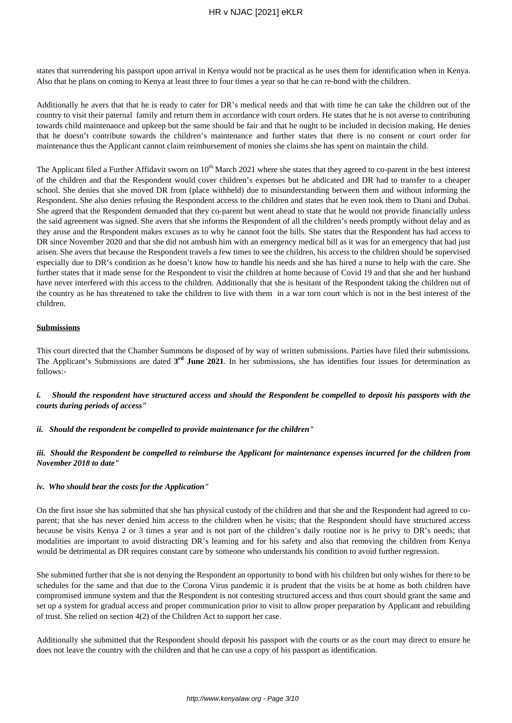states that surrendering his passport upon arrival in Kenya would not be practical as he uses them for identification when in Kenya. Also that he plans on coming to Kenya at least three to four times a year so that he can re-bond with the children.

Additionally he avers that that he is ready to cater for DR's medical needs and that with time he can take the children out of the country to visit their paternal family and return them in accordance with court orders. He states that he is not averse to contributing towards child maintenance and upkeep but the same should be fair and that he ought to be included in decision making. He denies that he doesn't contribute towards the children's maintenance and further states that there is no consent or court order for maintenance thus the Applicant cannot claim reimbursement of monies she claims she has spent on maintain the child.

The Applicant filed a Further Affidavit sworn on  $10<sup>th</sup>$  March 2021 where she states that they agreed to co-parent in the best interest of the children and that the Respondent would cover children's expenses but he abdicated and DR had to transfer to a cheaper school. She denies that she moved DR from (place withheld) due to misunderstanding between them and without informing the Respondent. She also denies refusing the Respondent access to the children and states that he even took them to Diani and Dubai. She agreed that the Respondent demanded that they co-parent but went ahead to state that he would not provide financially unless the said agreement was signed. She avers that she informs the Respondent of all the children's needs promptly without delay and as they arose and the Respondent makes excuses as to why he cannot foot the bills. She states that the Respondent has had access to DR since November 2020 and that she did not ambush him with an emergency medical bill as it was for an emergency that had just arisen. She avers that because the Respondent travels a few times to see the children, his access to the children should be supervised especially due to DR's condition as he doesn't know how to handle his needs and she has hired a nurse to help with the care. She further states that it made sense for the Respondent to visit the children at home because of Covid 19 and that she and her husband have never interfered with this access to the children. Additionally that she is hesitant of the Respondent taking the children out of the country as he has threatened to take the children to live with them in a war torn court which is not in the best interest of the children.

#### **Submissions**

This court directed that the Chamber Summons be disposed of by way of written submissions. Parties have filed their submissions. The Applicant's Submissions are dated  $3^{rd}$  June 2021. In her submissions, she has identifies four issues for determination as follows:-

*i. Should the respondent have structured access and should the Respondent be compelled to deposit his passports with the courts during periods of access"*

#### *ii. Should the respondent be compelled to provide maintenance for the children"*

## *iii. Should the Respondent be compelled to reimburse the Applicant for maintenance expenses incurred for the children from November 2018 to date"*

#### *iv. Who should bear the costs for the Application"*

On the first issue she has submitted that she has physical custody of the children and that she and the Respondent had agreed to coparent; that she has never denied him access to the children when he visits; that the Respondent should have structured access because he visits Kenya 2 or 3 times a year and is not part of the children's daily routine nor is he privy to DR's needs; that modalities are important to avoid distracting DR's learning and for his safety and also that removing the children from Kenya would be detrimental as DR requires constant care by someone who understands his condition to avoid further regression.

She submitted further that she is not denying the Respondent an opportunity to bond with his children but only wishes for there to be schedules for the same and that due to the Corona Virus pandemic it is prudent that the visits be at home as both children have compromised immune system and that the Respondent is not contesting structured access and thus court should grant the same and set up a system for gradual access and proper communication prior to visit to allow proper preparation by Applicant and rebuilding of trust. She relied on section 4(2) of the Children Act to support her case.

Additionally she submitted that the Respondent should deposit his passport with the courts or as the court may direct to ensure he does not leave the country with the children and that he can use a copy of his passport as identification.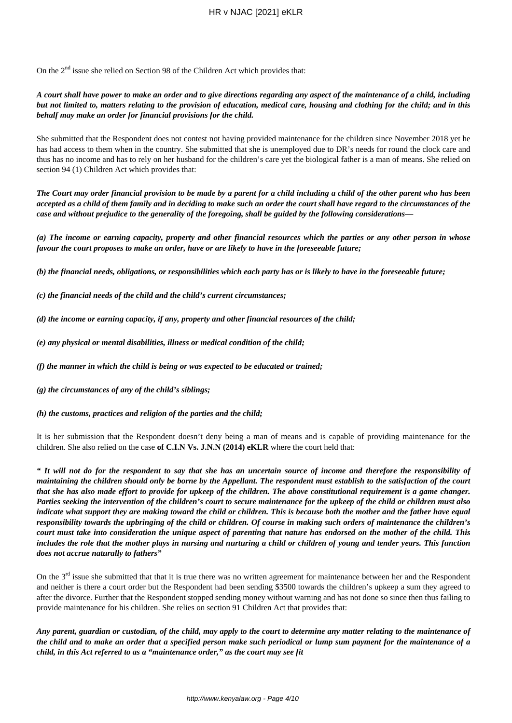On the 2nd issue she relied on Section 98 of the Children Act which provides that:

*A court shall have power to make an order and to give directions regarding any aspect of the maintenance of a child, including but not limited to, matters relating to the provision of education, medical care, housing and clothing for the child; and in this behalf may make an order for financial provisions for the child.*

She submitted that the Respondent does not contest not having provided maintenance for the children since November 2018 yet he has had access to them when in the country. She submitted that she is unemployed due to DR's needs for round the clock care and thus has no income and has to rely on her husband for the children's care yet the biological father is a man of means. She relied on section 94 (1) Children Act which provides that:

*The Court may order financial provision to be made by a parent for a child including a child of the other parent who has been accepted as a child of them family and in deciding to make such an order the court shall have regard to the circumstances of the case and without prejudice to the generality of the foregoing, shall be guided by the following considerations—*

*(a) The income or earning capacity, property and other financial resources which the parties or any other person in whose favour the court proposes to make an order, have or are likely to have in the foreseeable future;*

*(b) the financial needs, obligations, or responsibilities which each party has or is likely to have in the foreseeable future;*

*(c) the financial needs of the child and the child's current circumstances;*

*(d) the income or earning capacity, if any, property and other financial resources of the child;*

*(e) any physical or mental disabilities, illness or medical condition of the child;*

*(f) the manner in which the child is being or was expected to be educated or trained;*

*(g) the circumstances of any of the child's siblings;*

*(h) the customs, practices and religion of the parties and the child;*

It is her submission that the Respondent doesn't deny being a man of means and is capable of providing maintenance for the children. She also relied on the case **of C.I.N Vs. J.N.N (2014) eKLR** where the court held that:

*" It will not do for the respondent to say that she has an uncertain source of income and therefore the responsibility of maintaining the children should only be borne by the Appellant. The respondent must establish to the satisfaction of the court that she has also made effort to provide for upkeep of the children. The above constitutional requirement is a game changer. Parties seeking the intervention of the children's court to secure maintenance for the upkeep of the child or children must also indicate what support they are making toward the child or children. This is because both the mother and the father have equal responsibility towards the upbringing of the child or children. Of course in making such orders of maintenance the children's court must take into consideration the unique aspect of parenting that nature has endorsed on the mother of the child. This includes the role that the mother plays in nursing and nurturing a child or children of young and tender years. This function does not accrue naturally to fathers"*

On the  $3<sup>rd</sup>$  issue she submitted that that it is true there was no written agreement for maintenance between her and the Respondent and neither is there a court order but the Respondent had been sending \$3500 towards the children's upkeep a sum they agreed to after the divorce. Further that the Respondent stopped sending money without warning and has not done so since then thus failing to provide maintenance for his children. She relies on section 91 Children Act that provides that:

*Any parent, guardian or custodian, of the child, may apply to the court to determine any matter relating to the maintenance of the child and to make an order that a specified person make such periodical or lump sum payment for the maintenance of a child, in this Act referred to as a "maintenance order," as the court may see fit*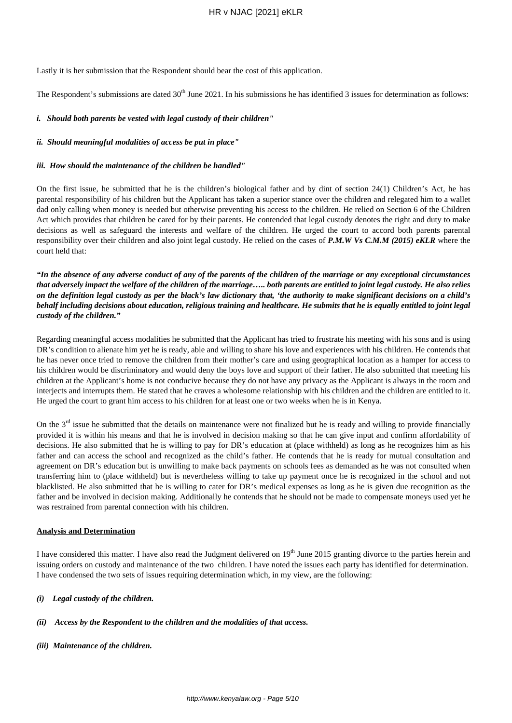## HR v NJAC [2021] eKLR

Lastly it is her submission that the Respondent should bear the cost of this application.

The Respondent's submissions are dated  $30<sup>th</sup>$  June 2021. In his submissions he has identified 3 issues for determination as follows:

## *i. Should both parents be vested with legal custody of their children"*

#### *ii. Should meaningful modalities of access be put in place"*

#### *iii. How should the maintenance of the children be handled"*

On the first issue, he submitted that he is the children's biological father and by dint of section 24(1) Children's Act, he has parental responsibility of his children but the Applicant has taken a superior stance over the children and relegated him to a wallet dad only calling when money is needed but otherwise preventing his access to the children. He relied on Section 6 of the Children Act which provides that children be cared for by their parents. He contended that legal custody denotes the right and duty to make decisions as well as safeguard the interests and welfare of the children. He urged the court to accord both parents parental responsibility over their children and also joint legal custody. He relied on the cases of *P.M.W Vs C.M.M (2015) eKLR* where the court held that:

*"In the absence of any adverse conduct of any of the parents of the children of the marriage or any exceptional circumstances that adversely impact the welfare of the children of the marriage….. both parents are entitled to joint legal custody. He also relies on the definition legal custody as per the black's law dictionary that, 'the authority to make significant decisions on a child's behalf including decisions about education, religious training and healthcare. He submits that he is equally entitled to joint legal custody of the children."*

Regarding meaningful access modalities he submitted that the Applicant has tried to frustrate his meeting with his sons and is using DR's condition to alienate him yet he is ready, able and willing to share his love and experiences with his children. He contends that he has never once tried to remove the children from their mother's care and using geographical location as a hamper for access to his children would be discriminatory and would deny the boys love and support of their father. He also submitted that meeting his children at the Applicant's home is not conducive because they do not have any privacy as the Applicant is always in the room and interjects and interrupts them. He stated that he craves a wholesome relationship with his children and the children are entitled to it. He urged the court to grant him access to his children for at least one or two weeks when he is in Kenya.

On the  $3<sup>rd</sup>$  issue he submitted that the details on maintenance were not finalized but he is ready and willing to provide financially provided it is within his means and that he is involved in decision making so that he can give input and confirm affordability of decisions. He also submitted that he is willing to pay for DR's education at (place withheld) as long as he recognizes him as his father and can access the school and recognized as the child's father. He contends that he is ready for mutual consultation and agreement on DR's education but is unwilling to make back payments on schools fees as demanded as he was not consulted when transferring him to (place withheld) but is nevertheless willing to take up payment once he is recognized in the school and not blacklisted. He also submitted that he is willing to cater for DR's medical expenses as long as he is given due recognition as the father and be involved in decision making. Additionally he contends that he should not be made to compensate moneys used yet he was restrained from parental connection with his children.

## **Analysis and Determination**

I have considered this matter. I have also read the Judgment delivered on  $19<sup>th</sup>$  June 2015 granting divorce to the parties herein and issuing orders on custody and maintenance of the two children. I have noted the issues each party has identified for determination. I have condensed the two sets of issues requiring determination which, in my view, are the following:

## *(i) Legal custody of the children.*

#### *(ii) Access by the Respondent to the children and the modalities of that access.*

*(iii) Maintenance of the children.*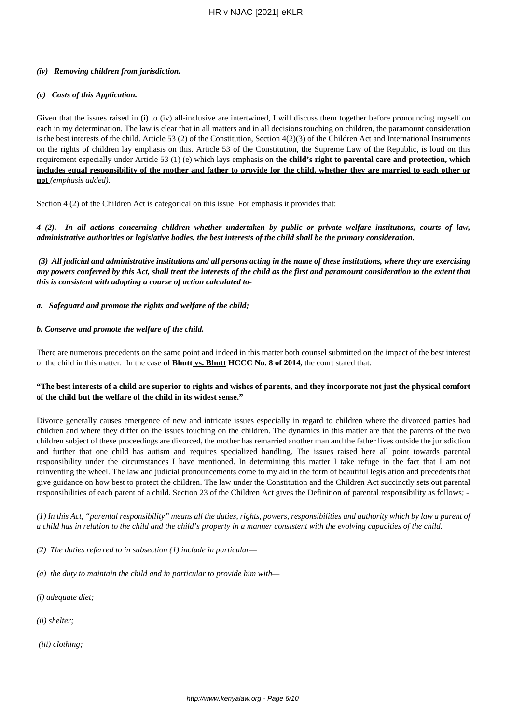## *(iv) Removing children from jurisdiction.*

## *(v) Costs of this Application.*

Given that the issues raised in (i) to (iv) all-inclusive are intertwined, I will discuss them together before pronouncing myself on each in my determination. The law is clear that in all matters and in all decisions touching on children, the paramount consideration is the best interests of the child. Article 53 (2) of the Constitution, Section  $4(2)(3)$  of the Children Act and International Instruments on the rights of children lay emphasis on this. Article 53 of the Constitution, the Supreme Law of the Republic, is loud on this requirement especially under Article 53 (1) (e) which lays emphasis on **the child's right to parental care and protection, which includes equal responsibility of the mother and father to provide for the child, whether they are married to each other or not** *(emphasis added).*

Section 4 (2) of the Children Act is categorical on this issue. For emphasis it provides that:

*4 (2). In all actions concerning children whether undertaken by public or private welfare institutions, courts of law, administrative authorities or legislative bodies, the best interests of the child shall be the primary consideration.*

*(3) All judicial and administrative institutions and all persons acting in the name of these institutions, where they are exercising any powers conferred by this Act, shall treat the interests of the child as the first and paramount consideration to the extent that this is consistent with adopting a course of action calculated to-*

*a. Safeguard and promote the rights and welfare of the child;*

## *b. Conserve and promote the welfare of the child.*

There are numerous precedents on the same point and indeed in this matter both counsel submitted on the impact of the best interest of the child in this matter. In the case **of Bhutt vs. Bhutt HCCC No. 8 of 2014,** the court stated that:

## **"The best interests of a child are superior to rights and wishes of parents, and they incorporate not just the physical comfort of the child but the welfare of the child in its widest sense."**

Divorce generally causes emergence of new and intricate issues especially in regard to children where the divorced parties had children and where they differ on the issues touching on the children. The dynamics in this matter are that the parents of the two children subject of these proceedings are divorced, the mother has remarried another man and the father lives outside the jurisdiction and further that one child has autism and requires specialized handling. The issues raised here all point towards parental responsibility under the circumstances I have mentioned. In determining this matter I take refuge in the fact that I am not reinventing the wheel. The law and judicial pronouncements come to my aid in the form of beautiful legislation and precedents that give guidance on how best to protect the children. The law under the Constitution and the Children Act succinctly sets out parental responsibilities of each parent of a child. Section 23 of the Children Act gives the Definition of parental responsibility as follows; -

*(1) In this Act, "parental responsibility" means all the duties, rights, powers, responsibilities and authority which by law a parent of a child has in relation to the child and the child's property in a manner consistent with the evolving capacities of the child.*

*(2) The duties referred to in subsection (1) include in particular—*

*(a) the duty to maintain the child and in particular to provide him with—*

*(i) adequate diet;*

*(ii) shelter;*

*(iii) clothing;*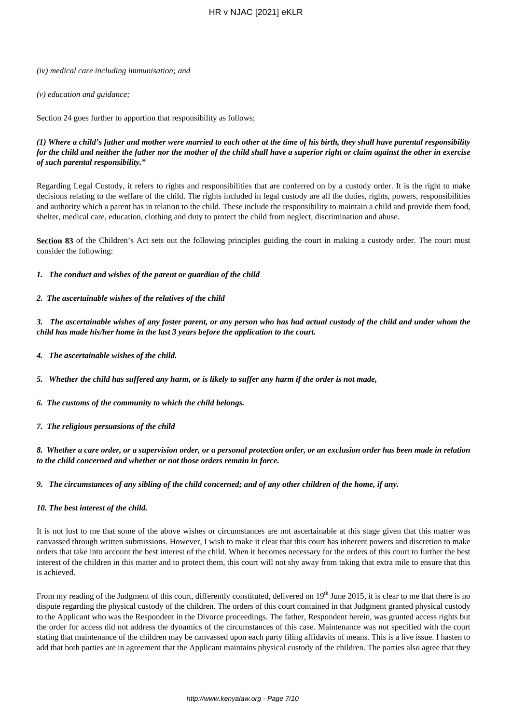#### *(iv) medical care including immunisation; and*

#### *(v) education and guidance;*

Section 24 goes further to apportion that responsibility as follows;

## *(1) Where a child's father and mother were married to each other at the time of his birth, they shall have parental responsibility for the child and neither the father nor the mother of the child shall have a superior right or claim against the other in exercise of such parental responsibility."*

Regarding Legal Custody, it refers to rights and responsibilities that are conferred on by a custody order. It is the right to make decisions relating to the welfare of the child. The rights included in legal custody are all the duties, rights, powers, responsibilities and authority which a parent has in relation to the child. These include the responsibility to maintain a child and provide them food, shelter, medical care, education, clothing and duty to protect the child from neglect, discrimination and abuse.

**Section 83** of the Children's Act sets out the following principles guiding the court in making a custody order. The court must consider the following:

#### *1. The conduct and wishes of the parent or guardian of the child*

### *2. The ascertainable wishes of the relatives of the child*

*3. The ascertainable wishes of any foster parent, or any person who has had actual custody of the child and under whom the child has made his/her home in the last 3 years before the application to the court.*

*4. The ascertainable wishes of the child.*

*5. Whether the child has suffered any harm, or is likely to suffer any harm if the order is not made,*

*6. The customs of the community to which the child belongs.*

*7. The religious persuasions of the child*

*8. Whether a care order, or a supervision order, or a personal protection order, or an exclusion order has been made in relation to the child concerned and whether or not those orders remain in force.*

#### *9. The circumstances of any sibling of the child concerned; and of any other children of the home, if any.*

#### *10. The best interest of the child.*

It is not lost to me that some of the above wishes or circumstances are not ascertainable at this stage given that this matter was canvassed through written submissions. However, I wish to make it clear that this court has inherent powers and discretion to make orders that take into account the best interest of the child. When it becomes necessary for the orders of this court to further the best interest of the children in this matter and to protect them, this court will not shy away from taking that extra mile to ensure that this is achieved.

From my reading of the Judgment of this court, differently constituted, delivered on 19<sup>th</sup> June 2015, it is clear to me that there is no dispute regarding the physical custody of the children. The orders of this court contained in that Judgment granted physical custody to the Applicant who was the Respondent in the Divorce proceedings. The father, Respondent herein, was granted access rights but the order for access did not address the dynamics of the circumstances of this case. Maintenance was not specified with the court stating that maintenance of the children may be canvassed upon each party filing affidavits of means. This is a live issue. I hasten to add that both parties are in agreement that the Applicant maintains physical custody of the children. The parties also agree that they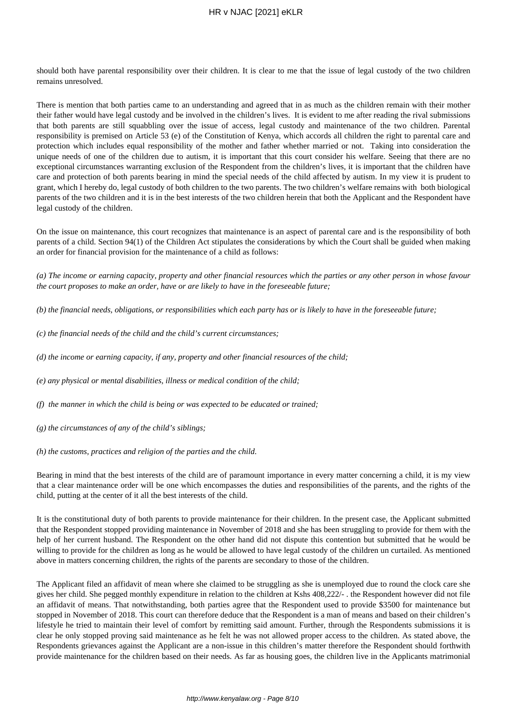should both have parental responsibility over their children. It is clear to me that the issue of legal custody of the two children remains unresolved.

There is mention that both parties came to an understanding and agreed that in as much as the children remain with their mother their father would have legal custody and be involved in the children's lives. It is evident to me after reading the rival submissions that both parents are still squabbling over the issue of access, legal custody and maintenance of the two children. Parental responsibility is premised on Article 53 (e) of the Constitution of Kenya, which accords all children the right to parental care and protection which includes equal responsibility of the mother and father whether married or not. Taking into consideration the unique needs of one of the children due to autism, it is important that this court consider his welfare. Seeing that there are no exceptional circumstances warranting exclusion of the Respondent from the children's lives, it is important that the children have care and protection of both parents bearing in mind the special needs of the child affected by autism. In my view it is prudent to grant, which I hereby do, legal custody of both children to the two parents. The two children's welfare remains with both biological parents of the two children and it is in the best interests of the two children herein that both the Applicant and the Respondent have legal custody of the children.

On the issue on maintenance, this court recognizes that maintenance is an aspect of parental care and is the responsibility of both parents of a child. Section 94(1) of the Children Act stipulates the considerations by which the Court shall be guided when making an order for financial provision for the maintenance of a child as follows:

*(a) The income or earning capacity, property and other financial resources which the parties or any other person in whose favour the court proposes to make an order, have or are likely to have in the foreseeable future;*

- *(b) the financial needs, obligations, or responsibilities which each party has or is likely to have in the foreseeable future;*
- *(c) the financial needs of the child and the child's current circumstances;*
- *(d) the income or earning capacity, if any, property and other financial resources of the child;*
- *(e) any physical or mental disabilities, illness or medical condition of the child;*
- *(f) the manner in which the child is being or was expected to be educated or trained;*
- *(g) the circumstances of any of the child's siblings;*
- *(h) the customs, practices and religion of the parties and the child.*

Bearing in mind that the best interests of the child are of paramount importance in every matter concerning a child, it is my view that a clear maintenance order will be one which encompasses the duties and responsibilities of the parents, and the rights of the child, putting at the center of it all the best interests of the child.

It is the constitutional duty of both parents to provide maintenance for their children. In the present case, the Applicant submitted that the Respondent stopped providing maintenance in November of 2018 and she has been struggling to provide for them with the help of her current husband. The Respondent on the other hand did not dispute this contention but submitted that he would be willing to provide for the children as long as he would be allowed to have legal custody of the children un curtailed. As mentioned above in matters concerning children, the rights of the parents are secondary to those of the children.

The Applicant filed an affidavit of mean where she claimed to be struggling as she is unemployed due to round the clock care she gives her child. She pegged monthly expenditure in relation to the children at Kshs 408,222/- . the Respondent however did not file an affidavit of means. That notwithstanding, both parties agree that the Respondent used to provide \$3500 for maintenance but stopped in November of 2018. This court can therefore deduce that the Respondent is a man of means and based on their children's lifestyle he tried to maintain their level of comfort by remitting said amount. Further, through the Respondents submissions it is clear he only stopped proving said maintenance as he felt he was not allowed proper access to the children. As stated above, the Respondents grievances against the Applicant are a non-issue in this children's matter therefore the Respondent should forthwith provide maintenance for the children based on their needs. As far as housing goes, the children live in the Applicants matrimonial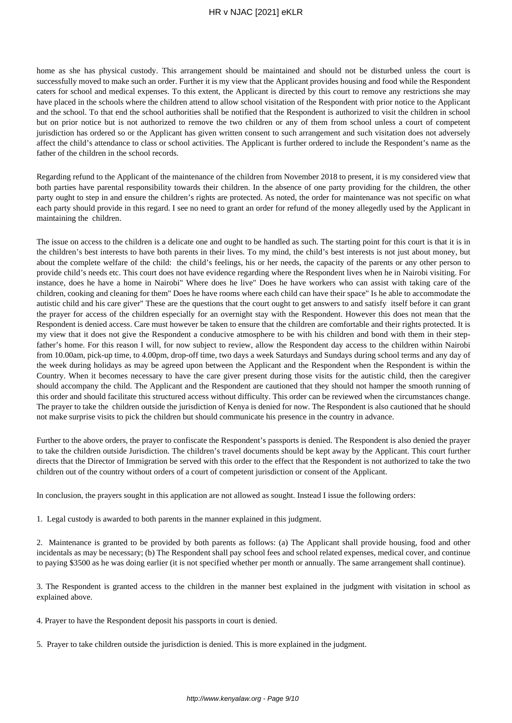## HR v NJAC [2021] eKLR

home as she has physical custody. This arrangement should be maintained and should not be disturbed unless the court is successfully moved to make such an order. Further it is my view that the Applicant provides housing and food while the Respondent caters for school and medical expenses. To this extent, the Applicant is directed by this court to remove any restrictions she may have placed in the schools where the children attend to allow school visitation of the Respondent with prior notice to the Applicant and the school. To that end the school authorities shall be notified that the Respondent is authorized to visit the children in school but on prior notice but is not authorized to remove the two children or any of them from school unless a court of competent jurisdiction has ordered so or the Applicant has given written consent to such arrangement and such visitation does not adversely affect the child's attendance to class or school activities. The Applicant is further ordered to include the Respondent's name as the father of the children in the school records.

Regarding refund to the Applicant of the maintenance of the children from November 2018 to present, it is my considered view that both parties have parental responsibility towards their children. In the absence of one party providing for the children, the other party ought to step in and ensure the children's rights are protected. As noted, the order for maintenance was not specific on what each party should provide in this regard. I see no need to grant an order for refund of the money allegedly used by the Applicant in maintaining the children.

The issue on access to the children is a delicate one and ought to be handled as such. The starting point for this court is that it is in the children's best interests to have both parents in their lives. To my mind, the child's best interests is not just about money, but about the complete welfare of the child: the child's feelings, his or her needs, the capacity of the parents or any other person to provide child's needs etc. This court does not have evidence regarding where the Respondent lives when he in Nairobi visiting. For instance, does he have a home in Nairobi" Where does he live" Does he have workers who can assist with taking care of the children, cooking and cleaning for them" Does he have rooms where each child can have their space" Is he able to accommodate the autistic child and his care giver" These are the questions that the court ought to get answers to and satisfy itself before it can grant the prayer for access of the children especially for an overnight stay with the Respondent. However this does not mean that the Respondent is denied access. Care must however be taken to ensure that the children are comfortable and their rights protected. It is my view that it does not give the Respondent a conducive atmosphere to be with his children and bond with them in their stepfather's home. For this reason I will, for now subject to review, allow the Respondent day access to the children within Nairobi from 10.00am, pick-up time, to 4.00pm, drop-off time, two days a week Saturdays and Sundays during school terms and any day of the week during holidays as may be agreed upon between the Applicant and the Respondent when the Respondent is within the Country. When it becomes necessary to have the care giver present during those visits for the autistic child, then the caregiver should accompany the child. The Applicant and the Respondent are cautioned that they should not hamper the smooth running of this order and should facilitate this structured access without difficulty. This order can be reviewed when the circumstances change. The prayer to take the children outside the jurisdiction of Kenya is denied for now. The Respondent is also cautioned that he should not make surprise visits to pick the children but should communicate his presence in the country in advance.

Further to the above orders, the prayer to confiscate the Respondent's passports is denied. The Respondent is also denied the prayer to take the children outside Jurisdiction. The children's travel documents should be kept away by the Applicant. This court further directs that the Director of Immigration be served with this order to the effect that the Respondent is not authorized to take the two children out of the country without orders of a court of competent jurisdiction or consent of the Applicant.

In conclusion, the prayers sought in this application are not allowed as sought. Instead I issue the following orders:

1. Legal custody is awarded to both parents in the manner explained in this judgment.

2. Maintenance is granted to be provided by both parents as follows: (a) The Applicant shall provide housing, food and other incidentals as may be necessary; (b) The Respondent shall pay school fees and school related expenses, medical cover, and continue to paying \$3500 as he was doing earlier (it is not specified whether per month or annually. The same arrangement shall continue).

3. The Respondent is granted access to the children in the manner best explained in the judgment with visitation in school as explained above.

4. Prayer to have the Respondent deposit his passports in court is denied.

5. Prayer to take children outside the jurisdiction is denied. This is more explained in the judgment.